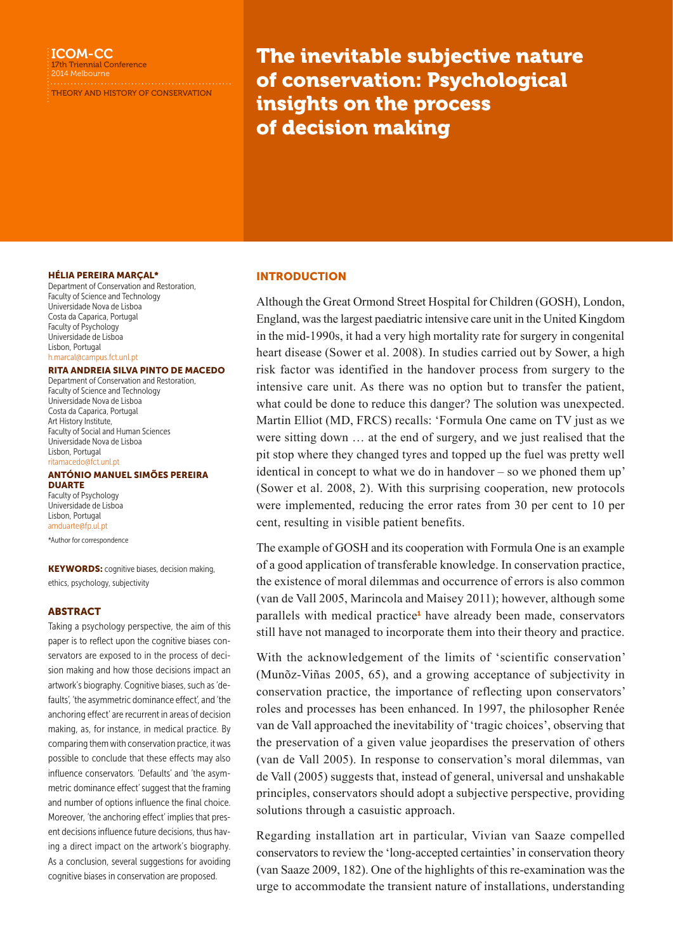# ICOM-CC

17th Triennial Conference 2014 Melbourne

THEORY AND HISTORY OF CONSERVATION

The inevitable subjective nature of conservation: Psychological insights on the process of decision making

#### HÉLIA PEREIRA MARÇAL\*

Department of Conservation and Restoration, Faculty of Science and Technology Universidade Nova de Lisboa Costa da Caparica, Portugal Faculty of Psychology Universidade de Lisboa Lisbon, Portugal [h.marcal@campus.fct.unl.pt](mailto:h.marcal@campus.fct.unl.pt)

#### RITA ANDREIA SILVA PINTO DE MACEDO

Department of Conservation and Restoration, Faculty of Science and Technology Universidade Nova de Lisboa Costa da Caparica, Portugal Art History Institute, Faculty of Social and Human Sciences Universidade Nova de Lisboa Lisbon, Portugal [ritamacedo@fct.unl.pt](mailto:ritamacedo@fct.unl.pt)

# ANTÓNIO MANUEL SIMÕES PEREIRA

DUARTE Faculty of Psychology Universidade de Lisboa Lisbon, Portugal [amduarte@fp.ul.pt](mailto:amduarte@fp.ul.pt)

\*Author for correspondence

**KEYWORDS:** cognitive biases, decision making, ethics, psychology, subjectivity

## ABSTRACT

Taking a psychology perspective, the aim of this paper is to reflect upon the cognitive biases conservators are exposed to in the process of decision making and how those decisions impact an artwork's biography. Cognitive biases, such as 'defaults', 'the asymmetric dominance effect', and 'the anchoring effect' are recurrent in areas of decision making, as, for instance, in medical practice. By comparing them with conservation practice, it was possible to conclude that these effects may also influence conservators. 'Defaults' and 'the asymmetric dominance effect' suggest that the framing and number of options influence the final choice. Moreover, 'the anchoring effect' implies that present decisions influence future decisions, thus having a direct impact on the artwork's biography. As a conclusion, several suggestions for avoiding cognitive biases in conservation are proposed.

## INTRODUCTION

Although the Great Ormond Street Hospital for Children (GOSH), London, England, was the largest paediatric intensive care unit in the United Kingdom in the mid-1990s, it had a very high mortality rate for surgery in congenital heart disease (Sower et al. 2008). In studies carried out by Sower, a high risk factor was identified in the handover process from surgery to the intensive care unit. As there was no option but to transfer the patient, what could be done to reduce this danger? The solution was unexpected. Martin Elliot (MD, FRCS) recalls: 'Formula One came on TV just as we were sitting down … at the end of surgery, and we just realised that the pit stop where they changed tyres and topped up the fuel was pretty well identical in concept to what we do in handover – so we phoned them up' (Sower et al. 2008, 2). With this surprising cooperation, new protocols were implemented, reducing the error rates from 30 per cent to 10 per cent, resulting in visible patient benefits.

The example of GOSH and its cooperation with Formula One is an example of a good application of transferable knowledge. In conservation practice, the existence of moral dilemmas and occurrence of errors is also common (van de Vall 2005, Marincola and Maisey 2011); however, although some parallels with medical practice<sup>1</sup> have already been made, conservators still have not managed to incorporate them into their theory and practice.

With the acknowledgement of the limits of 'scientific conservation' (Munõz-Viñas 2005, 65), and a growing acceptance of subjectivity in conservation practice, the importance of reflecting upon conservators' roles and processes has been enhanced. In 1997, the philosopher Renée van de Vall approached the inevitability of 'tragic choices', observing that the preservation of a given value jeopardises the preservation of others (van de Vall 2005). In response to conservation's moral dilemmas, van de Vall (2005) suggests that, instead of general, universal and unshakable principles, conservators should adopt a subjective perspective, providing solutions through a casuistic approach.

Regarding installation art in particular, Vivian van Saaze compelled conservators to review the 'long-accepted certainties' in conservation theory (van Saaze 2009, 182). One of the highlights of this re-examination was the urge to accommodate the transient nature of installations, understanding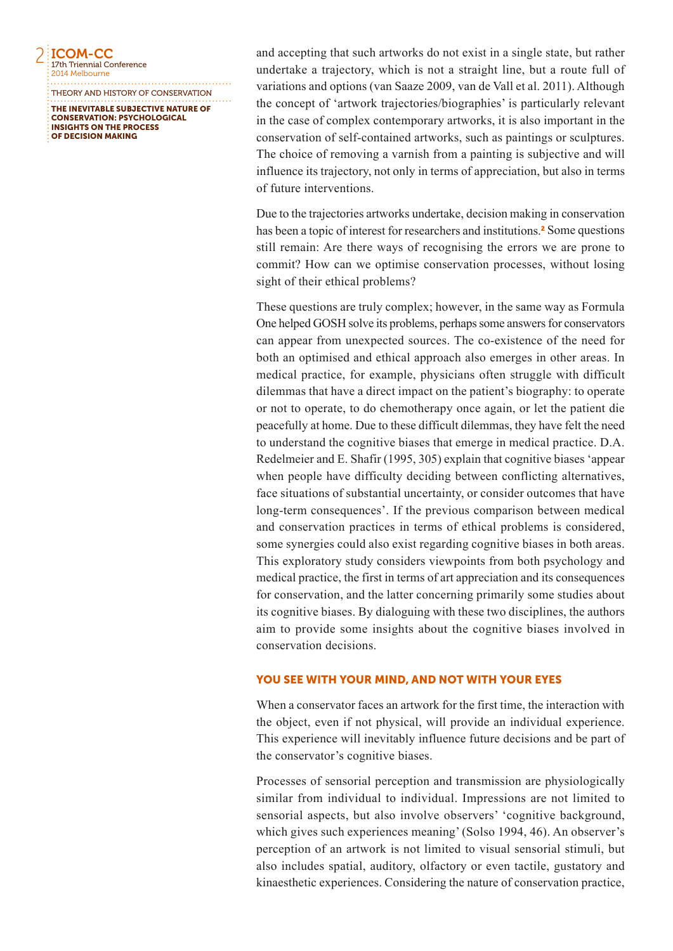2 ICOM-CC 17th Triennial Conference 2014 Melbourne

THE INEVITABLE SUBJECTIVE NATURE OF THEORY AND HISTORY OF CONSERVATION

CONSERVATION: PSYCHOLOGICAL INSIGHTS ON THE PROCESS OF DECISION MAKING

and accepting that such artworks do not exist in a single state, but rather undertake a trajectory, which is not a straight line, but a route full of variations and options (van Saaze 2009, van de Vall et al. 2011). Although the concept of 'artwork trajectories/biographies' is particularly relevant in the case of complex contemporary artworks, it is also important in the conservation of self-contained artworks, such as paintings or sculptures. The choice of removing a varnish from a painting is subjective and will influence its trajectory, not only in terms of appreciation, but also in terms of future interventions.

Due to the trajectories artworks undertake, decision making in conservation has been a topic of interest for researchers and institutions.<sup>2</sup> Some questions still remain: Are there ways of recognising the errors we are prone to commit? How can we optimise conservation processes, without losing sight of their ethical problems?

These questions are truly complex; however, in the same way as Formula One helped GOSH solve its problems, perhaps some answers for conservators can appear from unexpected sources. The co-existence of the need for both an optimised and ethical approach also emerges in other areas. In medical practice, for example, physicians often struggle with difficult dilemmas that have a direct impact on the patient's biography: to operate or not to operate, to do chemotherapy once again, or let the patient die peacefully at home. Due to these difficult dilemmas, they have felt the need to understand the cognitive biases that emerge in medical practice. D.A. Redelmeier and E. Shafir (1995, 305) explain that cognitive biases 'appear when people have difficulty deciding between conflicting alternatives, face situations of substantial uncertainty, or consider outcomes that have long-term consequences'. If the previous comparison between medical and conservation practices in terms of ethical problems is considered, some synergies could also exist regarding cognitive biases in both areas. This exploratory study considers viewpoints from both psychology and medical practice, the first in terms of art appreciation and its consequences for conservation, and the latter concerning primarily some studies about its cognitive biases. By dialoguing with these two disciplines, the authors aim to provide some insights about the cognitive biases involved in conservation decisions.

# YOU SEE WITH YOUR MIND, AND NOT WITH YOUR EYES

When a conservator faces an artwork for the first time, the interaction with the object, even if not physical, will provide an individual experience. This experience will inevitably influence future decisions and be part of the conservator's cognitive biases.

Processes of sensorial perception and transmission are physiologically similar from individual to individual. Impressions are not limited to sensorial aspects, but also involve observers' 'cognitive background, which gives such experiences meaning' (Solso 1994, 46). An observer's perception of an artwork is not limited to visual sensorial stimuli, but also includes spatial, auditory, olfactory or even tactile, gustatory and kinaesthetic experiences. Considering the nature of conservation practice,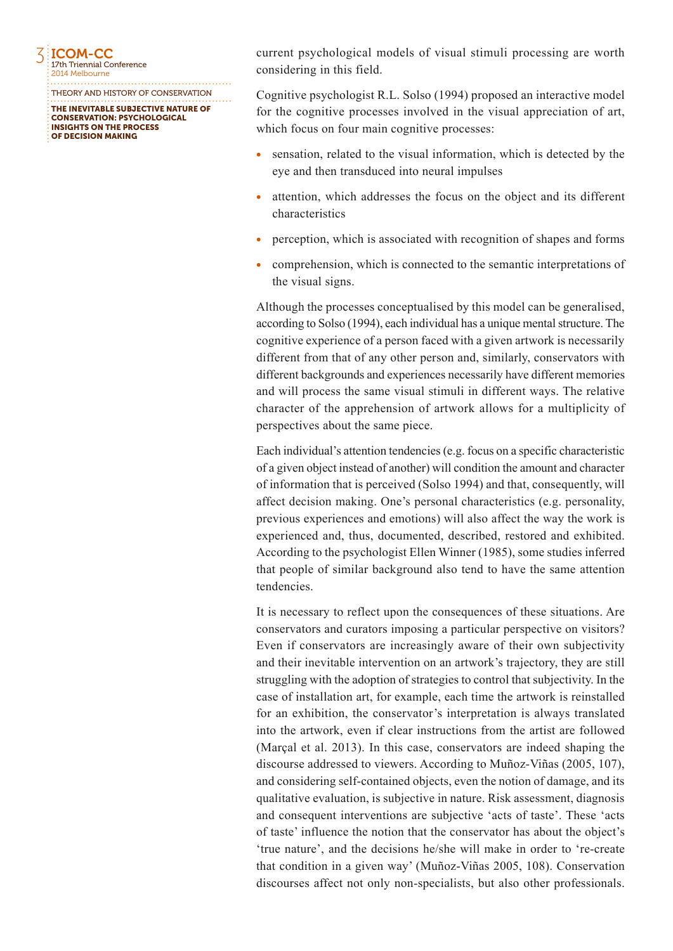

THE INEVITABLE SUBJECTIVE NATURE OF CONSERVATION: PSYCHOLOGICAL INSIGHTS ON THE PROCESS OF DECISION MAKING THEORY AND HISTORY OF CONSERVATION current psychological models of visual stimuli processing are worth considering in this field.

Cognitive psychologist R.L. Solso (1994) proposed an interactive model for the cognitive processes involved in the visual appreciation of art, which focus on four main cognitive processes:

- sensation, related to the visual information, which is detected by the eye and then transduced into neural impulses
- attention, which addresses the focus on the object and its different characteristics
- perception, which is associated with recognition of shapes and forms
- comprehension, which is connected to the semantic interpretations of the visual signs.

Although the processes conceptualised by this model can be generalised, according to Solso (1994), each individual has a unique mental structure. The cognitive experience of a person faced with a given artwork is necessarily different from that of any other person and, similarly, conservators with different backgrounds and experiences necessarily have different memories and will process the same visual stimuli in different ways. The relative character of the apprehension of artwork allows for a multiplicity of perspectives about the same piece.

Each individual's attention tendencies (e.g. focus on a specific characteristic of a given object instead of another) will condition the amount and character of information that is perceived (Solso 1994) and that, consequently, will affect decision making. One's personal characteristics (e.g. personality, previous experiences and emotions) will also affect the way the work is experienced and, thus, documented, described, restored and exhibited. According to the psychologist Ellen Winner (1985), some studies inferred that people of similar background also tend to have the same attention tendencies.

It is necessary to reflect upon the consequences of these situations. Are conservators and curators imposing a particular perspective on visitors? Even if conservators are increasingly aware of their own subjectivity and their inevitable intervention on an artwork's trajectory, they are still struggling with the adoption of strategies to control that subjectivity. In the case of installation art, for example, each time the artwork is reinstalled for an exhibition, the conservator's interpretation is always translated into the artwork, even if clear instructions from the artist are followed (Marçal et al. 2013). In this case, conservators are indeed shaping the discourse addressed to viewers. According to Muñoz-Viñas (2005, 107), and considering self-contained objects, even the notion of damage, and its qualitative evaluation, is subjective in nature. Risk assessment, diagnosis and consequent interventions are subjective 'acts of taste'. These 'acts of taste' influence the notion that the conservator has about the object's 'true nature', and the decisions he/she will make in order to 're-create that condition in a given way' (Muñoz-Viñas 2005, 108). Conservation discourses affect not only non-specialists, but also other professionals.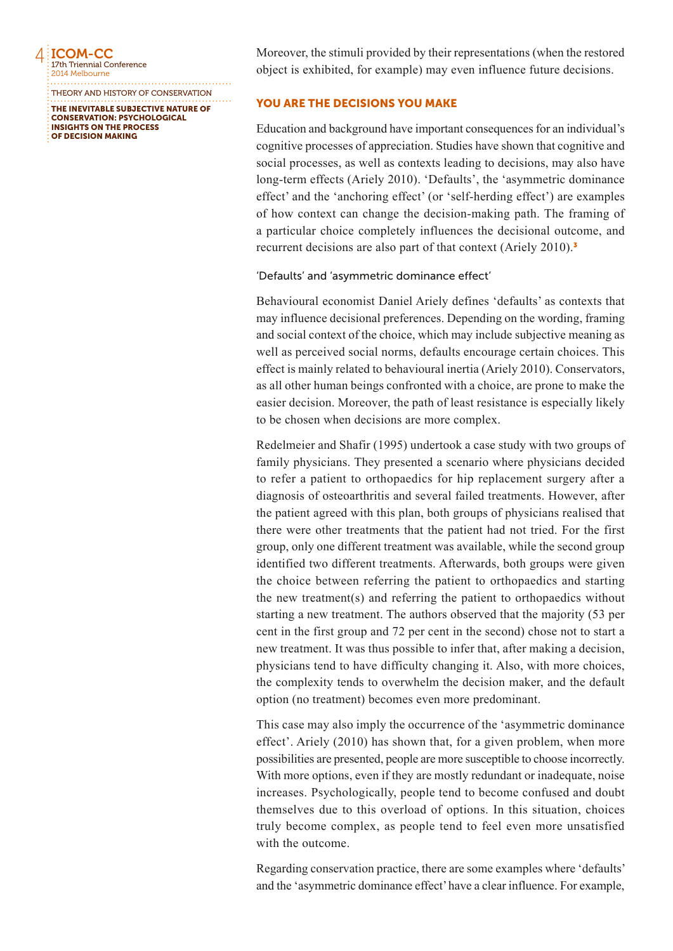**EICOM-CC** 17th Triennial Conference 2014 Melbourne

THE INEVITABLE SUBJECTIVE NATURE OF THEORY AND HISTORY OF CONSERVATION

CONSERVATION: PSYCHOLOGICAL INSIGHTS ON THE PROCESS OF DECISION MAKING

Moreover, the stimuli provided by their representations (when the restored object is exhibited, for example) may even influence future decisions.

## YOU ARE THE DECISIONS YOU MAKE

Education and background have important consequences for an individual's cognitive processes of appreciation. Studies have shown that cognitive and social processes, as well as contexts leading to decisions, may also have long-term effects (Ariely 2010). 'Defaults', the 'asymmetric dominance effect' and the 'anchoring effect' (or 'self-herding effect') are examples of how context can change the decision-making path. The framing of a particular choice completely influences the decisional outcome, and recurrent decisions are also part of that context (Ariely 2010).<sup>3</sup>

## 'Defaults' and 'asymmetric dominance effect'

Behavioural economist Daniel Ariely defines 'defaults' as contexts that may influence decisional preferences. Depending on the wording, framing and social context of the choice, which may include subjective meaning as well as perceived social norms, defaults encourage certain choices. This effect is mainly related to behavioural inertia (Ariely 2010). Conservators, as all other human beings confronted with a choice, are prone to make the easier decision. Moreover, the path of least resistance is especially likely to be chosen when decisions are more complex.

Redelmeier and Shafir (1995) undertook a case study with two groups of family physicians. They presented a scenario where physicians decided to refer a patient to orthopaedics for hip replacement surgery after a diagnosis of osteoarthritis and several failed treatments. However, after the patient agreed with this plan, both groups of physicians realised that there were other treatments that the patient had not tried. For the first group, only one different treatment was available, while the second group identified two different treatments. Afterwards, both groups were given the choice between referring the patient to orthopaedics and starting the new treatment(s) and referring the patient to orthopaedics without starting a new treatment. The authors observed that the majority (53 per cent in the first group and 72 per cent in the second) chose not to start a new treatment. It was thus possible to infer that, after making a decision, physicians tend to have difficulty changing it. Also, with more choices, the complexity tends to overwhelm the decision maker, and the default option (no treatment) becomes even more predominant.

This case may also imply the occurrence of the 'asymmetric dominance effect'. Ariely (2010) has shown that, for a given problem, when more possibilities are presented, people are more susceptible to choose incorrectly. With more options, even if they are mostly redundant or inadequate, noise increases. Psychologically, people tend to become confused and doubt themselves due to this overload of options. In this situation, choices truly become complex, as people tend to feel even more unsatisfied with the outcome.

Regarding conservation practice, there are some examples where 'defaults' and the 'asymmetric dominance effect' have a clear influence. For example,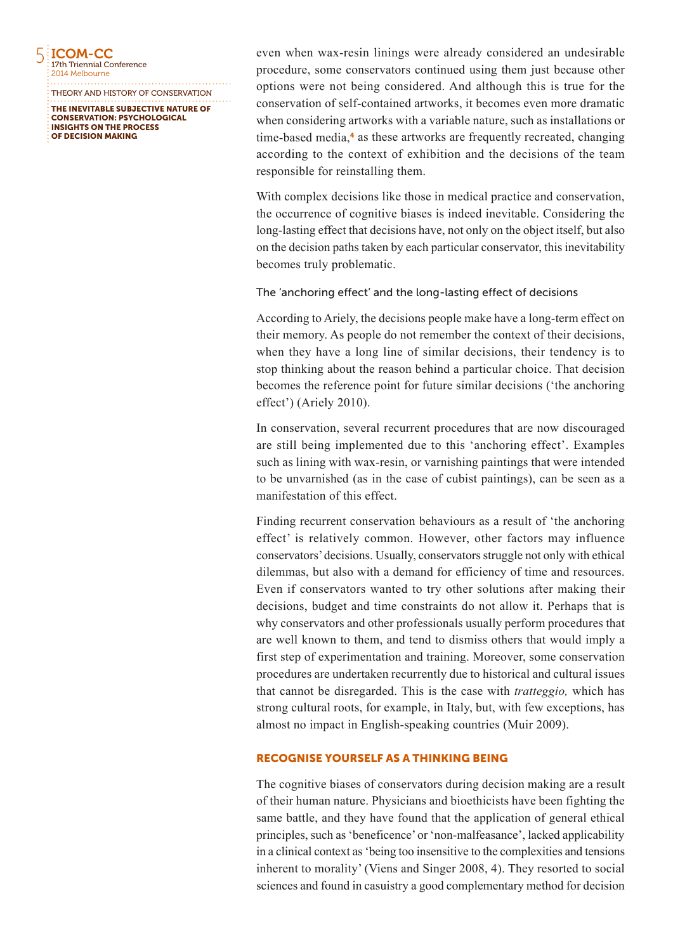5 ICOM-CC 17th Triennial Conference 2014 Melbourne

OF DECISION MAKING

THE INEVITABLE SUBJECTIVE NATURE OF CONSERVATION: PSYCHOLOGICAL INSIGHTS ON THE PROCESS THEORY AND HISTORY OF CONSERVATION even when wax-resin linings were already considered an undesirable procedure, some conservators continued using them just because other options were not being considered. And although this is true for the conservation of self-contained artworks, it becomes even more dramatic when considering artworks with a variable nature, such as installations or time-based media,<sup>4</sup> as these artworks are frequently recreated, changing according to the context of exhibition and the decisions of the team responsible for reinstalling them.

With complex decisions like those in medical practice and conservation, the occurrence of cognitive biases is indeed inevitable. Considering the long-lasting effect that decisions have, not only on the object itself, but also on the decision paths taken by each particular conservator, this inevitability becomes truly problematic.

The 'anchoring effect' and the long-lasting effect of decisions

According to Ariely, the decisions people make have a long-term effect on their memory. As people do not remember the context of their decisions, when they have a long line of similar decisions, their tendency is to stop thinking about the reason behind a particular choice. That decision becomes the reference point for future similar decisions ('the anchoring effect') (Ariely 2010).

In conservation, several recurrent procedures that are now discouraged are still being implemented due to this 'anchoring effect'. Examples such as lining with wax-resin, or varnishing paintings that were intended to be unvarnished (as in the case of cubist paintings), can be seen as a manifestation of this effect.

Finding recurrent conservation behaviours as a result of 'the anchoring effect' is relatively common. However, other factors may influence conservators' decisions. Usually, conservators struggle not only with ethical dilemmas, but also with a demand for efficiency of time and resources. Even if conservators wanted to try other solutions after making their decisions, budget and time constraints do not allow it. Perhaps that is why conservators and other professionals usually perform procedures that are well known to them, and tend to dismiss others that would imply a first step of experimentation and training. Moreover, some conservation procedures are undertaken recurrently due to historical and cultural issues that cannot be disregarded. This is the case with *tratteggio,* which has strong cultural roots, for example, in Italy, but, with few exceptions, has almost no impact in English-speaking countries (Muir 2009).

# RECOGNISE YOURSELF AS A THINKING BEING

The cognitive biases of conservators during decision making are a result of their human nature. Physicians and bioethicists have been fighting the same battle, and they have found that the application of general ethical principles, such as 'beneficence' or 'non-malfeasance', lacked applicability in a clinical context as 'being too insensitive to the complexities and tensions inherent to morality' (Viens and Singer 2008, 4). They resorted to social sciences and found in casuistry a good complementary method for decision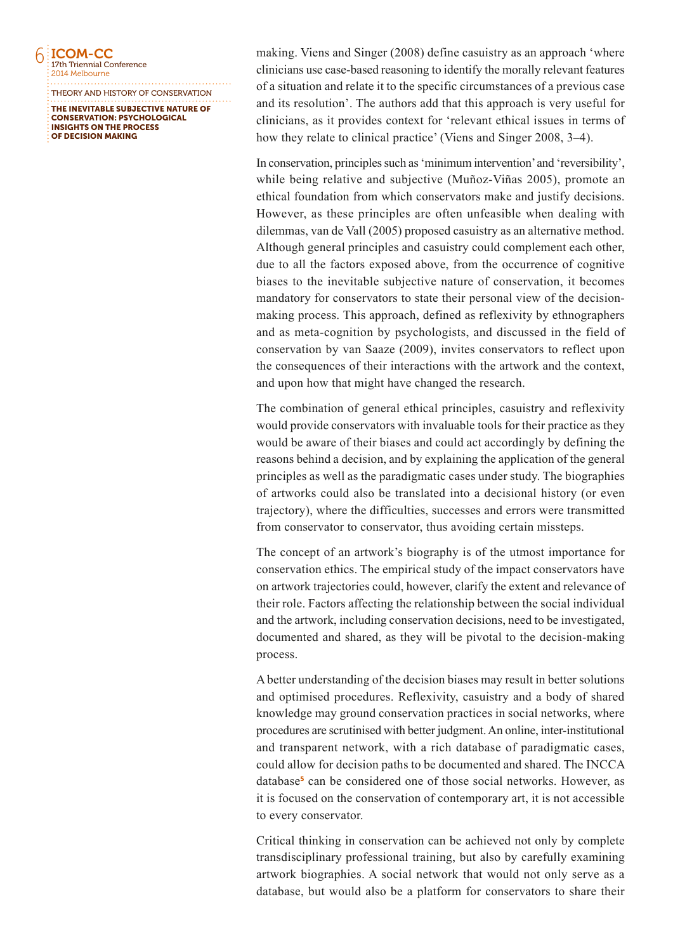

THE INEVITABLE SUBJECTIVE NATURE OF THEORY AND HISTORY OF CONSERVATION

CONSERVATION: PSYCHOLOGICAL INSIGHTS ON THE PROCESS OF DECISION MAKING

making. Viens and Singer (2008) define casuistry as an approach 'where clinicians use case-based reasoning to identify the morally relevant features of a situation and relate it to the specific circumstances of a previous case and its resolution'. The authors add that this approach is very useful for clinicians, as it provides context for 'relevant ethical issues in terms of how they relate to clinical practice' (Viens and Singer 2008, 3–4).

In conservation, principles such as 'minimum intervention' and 'reversibility', while being relative and subjective (Muñoz-Viñas 2005), promote an ethical foundation from which conservators make and justify decisions. However, as these principles are often unfeasible when dealing with dilemmas, van de Vall (2005) proposed casuistry as an alternative method. Although general principles and casuistry could complement each other, due to all the factors exposed above, from the occurrence of cognitive biases to the inevitable subjective nature of conservation, it becomes mandatory for conservators to state their personal view of the decisionmaking process. This approach, defined as reflexivity by ethnographers and as meta-cognition by psychologists, and discussed in the field of conservation by van Saaze (2009), invites conservators to reflect upon the consequences of their interactions with the artwork and the context, and upon how that might have changed the research.

The combination of general ethical principles, casuistry and reflexivity would provide conservators with invaluable tools for their practice as they would be aware of their biases and could act accordingly by defining the reasons behind a decision, and by explaining the application of the general principles as well as the paradigmatic cases under study. The biographies of artworks could also be translated into a decisional history (or even trajectory), where the difficulties, successes and errors were transmitted from conservator to conservator, thus avoiding certain missteps.

The concept of an artwork's biography is of the utmost importance for conservation ethics. The empirical study of the impact conservators have on artwork trajectories could, however, clarify the extent and relevance of their role. Factors affecting the relationship between the social individual and the artwork, including conservation decisions, need to be investigated, documented and shared, as they will be pivotal to the decision-making process.

A better understanding of the decision biases may result in better solutions and optimised procedures. Reflexivity, casuistry and a body of shared knowledge may ground conservation practices in social networks, where procedures are scrutinised with better judgment. An online, inter-institutional and transparent network, with a rich database of paradigmatic cases, could allow for decision paths to be documented and shared. The INCCA database<sup>5</sup> can be considered one of those social networks. However, as it is focused on the conservation of contemporary art, it is not accessible to every conservator.

Critical thinking in conservation can be achieved not only by complete transdisciplinary professional training, but also by carefully examining artwork biographies. A social network that would not only serve as a database, but would also be a platform for conservators to share their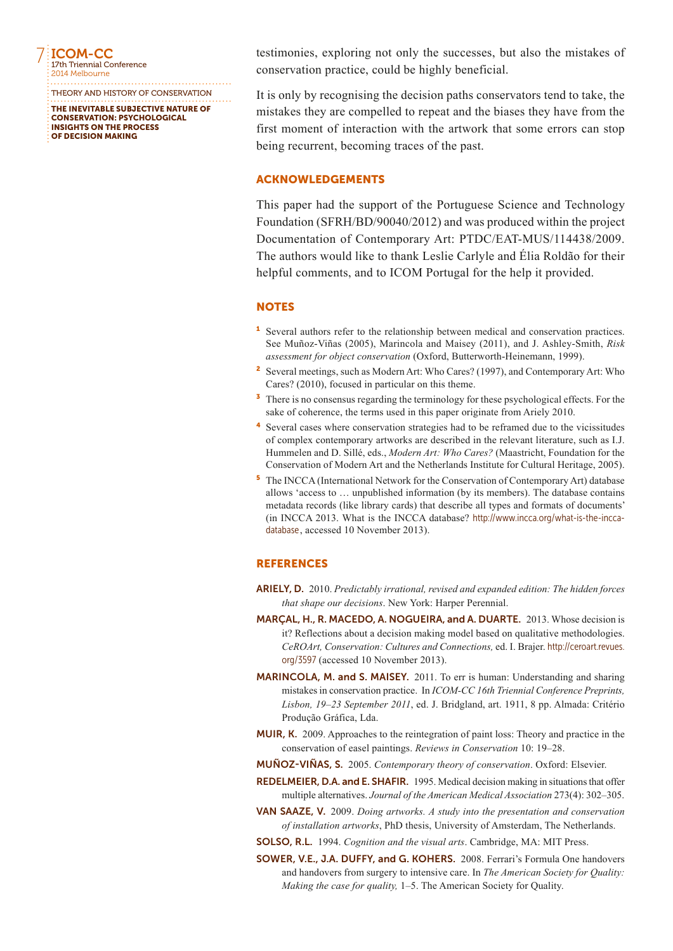7 ICOM-CC 17th Triennial Conference 2014 Melbourne

THE INEVITABLE SUBJECTIVE NATURE OF CONSERVATION: PSYCHOLOGICAL INSIGHTS ON THE PROCESS OF DECISION MAKING THEORY AND HISTORY OF CONSERVATION testimonies, exploring not only the successes, but also the mistakes of conservation practice, could be highly beneficial.

It is only by recognising the decision paths conservators tend to take, the mistakes they are compelled to repeat and the biases they have from the first moment of interaction with the artwork that some errors can stop being recurrent, becoming traces of the past.

# ACKNOWLEDGEMENTS

This paper had the support of the Portuguese Science and Technology Foundation (SFRH/BD/90040/2012) and was produced within the project Documentation of Contemporary Art: PTDC/EAT-MUS/114438/2009. The authors would like to thank Leslie Carlyle and Élia Roldão for their helpful comments, and to ICOM Portugal for the help it provided.

#### **NOTES**

- <sup>1</sup> Several authors refer to the relationship between medical and conservation practices. See Muñoz-Viñas (2005), Marincola and Maisey (2011), and J. Ashley-Smith, *Risk assessment for object conservation* (Oxford, Butterworth-Heinemann, 1999).
- <sup>2</sup> Several meetings, such as Modern Art: Who Cares? (1997), and Contemporary Art: Who Cares? (2010), focused in particular on this theme.
- <sup>3</sup> There is no consensus regarding the terminology for these psychological effects. For the sake of coherence, the terms used in this paper originate from Ariely 2010.
- <sup>4</sup> Several cases where conservation strategies had to be reframed due to the vicissitudes of complex contemporary artworks are described in the relevant literature, such as I.J. Hummelen and D. Sillé, eds., *Modern Art: Who Cares?* (Maastricht, Foundation for the Conservation of Modern Art and the Netherlands Institute for Cultural Heritage, 2005).
- <sup>5</sup> The INCCA (International Network for the Conservation of Contemporary Art) database allows 'access to … unpublished information (by its members). The database contains metadata records (like library cards) that describe all types and formats of documents' (in INCCA 2013. What is the INCCA database? [http://www.incca.org/what-is-the-incca](http://www.incca.org/what-is-the-incca-database)[database](http://www.incca.org/what-is-the-incca-database), accessed 10 November 2013).

#### **REFERENCES**

- ARIELY, D. 2010. *Predictably irrational, revised and expanded edition: The hidden forces that shape our decisions*. New York: Harper Perennial.
- MARÇAL, H., R. MACEDO, A. NOGUEIRA, and A. DUARTE. 2013. Whose decision is it? Reflections about a decision making model based on qualitative methodologies. *CeROArt, Conservation: Cultures and Connections,* ed. I. Brajer. [http://ceroart.revues.](http://ceroart.revues.org/3597) [org/3597](http://ceroart.revues.org/3597) (accessed 10 November 2013).
- MARINCOLA, M. and S. MAISEY. 2011. To err is human: Understanding and sharing mistakes in conservation practice. In *ICOM-CC 16th Triennial Conference Preprints, Lisbon, 19–23 September 2011*, ed. J. Bridgland, art. 1911, 8 pp. Almada: Critério Produção Gráfica, Lda.
- MUIR, K. 2009. Approaches to the reintegration of paint loss: Theory and practice in the conservation of easel paintings. *Reviews in Conservation* 10: 19–28.
- MUÑOZ-VIÑAS, S. 2005. *Contemporary theory of conservation*. Oxford: Elsevier.
- REDELMEIER, D.A. and E. SHAFIR. 1995. Medical decision making in situations that offer multiple alternatives. *Journal of the American Medical Association* 273(4): 302–305.
- VAN SAAZE, V. 2009. *Doing artworks. A study into the presentation and conservation of installation artworks*, PhD thesis, University of Amsterdam, The Netherlands.
- SOLSO, R.L. 1994. *Cognition and the visual arts*. Cambridge, MA: MIT Press.
- SOWER, V.E., J.A. DUFFY, and G. KOHERS. 2008. Ferrari's Formula One handovers and handovers from surgery to intensive care. In *The American Society for Quality: Making the case for quality,* 1–5. The American Society for Quality.